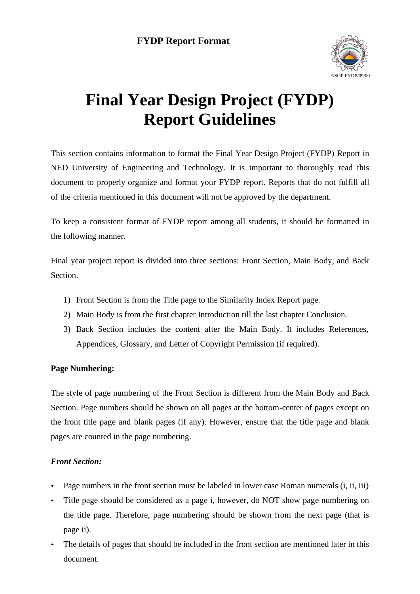

# **Final Year Design Project (FYDP) Report Guidelines**

This section contains information to format the Final Year Design Project (FYDP) Report in NED University of Engineering and Technology. It is important to thoroughly read this document to properly organize and format your FYDP report. Reports that do not fulfill all of the criteria mentioned in this document will not be approved by the department.

To keep a consistent format of FYDP report among all students, it should be formatted in the following manner.

Final year project report is divided into three sections: Front Section, Main Body, and Back Section.

- 1) Front Section is from the Title page to the Similarity Index Report page.
- 2) Main Body is from the first chapter Introduction till the last chapter Conclusion.
- 3) Back Section includes the content after the Main Body. It includes References, Appendices, Glossary, and Letter of Copyright Permission (if required).

#### **Page Numbering:**

The style of page numbering of the Front Section is different from the Main Body and Back Section. Page numbers should be shown on all pages at the bottom-center of pages except on the front title page and blank pages (if any). However, ensure that the title page and blank pages are counted in the page numbering.

#### *Front Section:*

- Page numbers in the front section must be labeled in lower case Roman numerals (i, ii, iii)
- Title page should be considered as a page i, however, do NOT show page numbering on the title page. Therefore, page numbering should be shown from the next page (that is page ii).
- The details of pages that should be included in the front section are mentioned later in this document.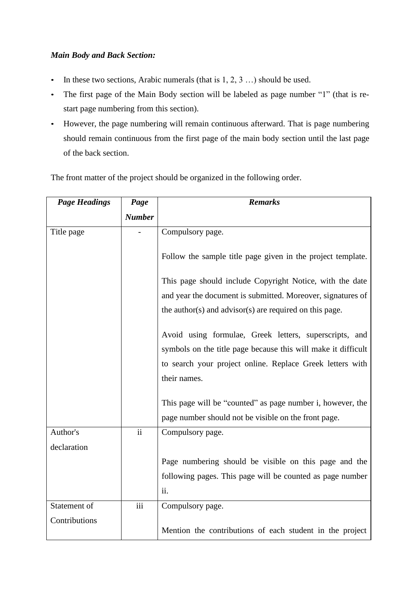#### *Main Body and Back Section:*

- In these two sections, Arabic numerals (that is  $1, 2, 3...$ ) should be used.
- The first page of the Main Body section will be labeled as page number "1" (that is restart page numbering from this section).
- However, the page numbering will remain continuous afterward. That is page numbering should remain continuous from the first page of the main body section until the last page of the back section.

The front matter of the project should be organized in the following order.

| <b>Page Headings</b> | Page          | <b>Remarks</b>                                                                                                     |
|----------------------|---------------|--------------------------------------------------------------------------------------------------------------------|
|                      | <b>Number</b> |                                                                                                                    |
| Title page           |               | Compulsory page.                                                                                                   |
|                      |               | Follow the sample title page given in the project template.                                                        |
|                      |               | This page should include Copyright Notice, with the date                                                           |
|                      |               | and year the document is submitted. Moreover, signatures of                                                        |
|                      |               | the author(s) and advisor(s) are required on this page.                                                            |
|                      |               | Avoid using formulae, Greek letters, superscripts, and                                                             |
|                      |               | symbols on the title page because this will make it difficult                                                      |
|                      |               | to search your project online. Replace Greek letters with                                                          |
|                      |               | their names.                                                                                                       |
|                      |               | This page will be "counted" as page number i, however, the<br>page number should not be visible on the front page. |
| Author's             | ii            | Compulsory page.                                                                                                   |
| declaration          |               |                                                                                                                    |
|                      |               | Page numbering should be visible on this page and the                                                              |
|                      |               | following pages. This page will be counted as page number                                                          |
|                      |               | ii.                                                                                                                |
| Statement of         | iii           | Compulsory page.                                                                                                   |
| Contributions        |               | Mention the contributions of each student in the project                                                           |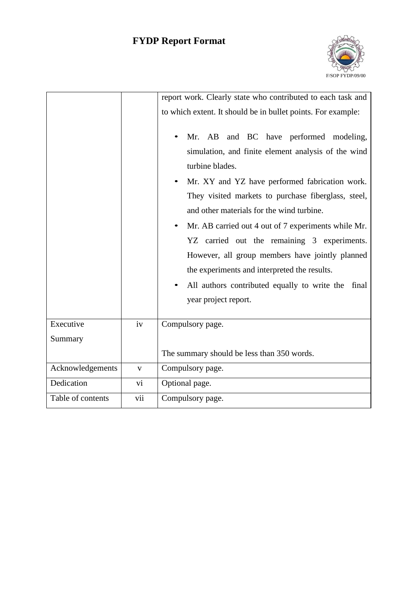

|                   |              | report work. Clearly state who contributed to each task and  |  |  |  |  |
|-------------------|--------------|--------------------------------------------------------------|--|--|--|--|
|                   |              | to which extent. It should be in bullet points. For example: |  |  |  |  |
|                   |              |                                                              |  |  |  |  |
|                   |              | and BC have performed modeling,<br>Mr. AB                    |  |  |  |  |
|                   |              | simulation, and finite element analysis of the wind          |  |  |  |  |
|                   |              | turbine blades.                                              |  |  |  |  |
|                   |              | Mr. XY and YZ have performed fabrication work.               |  |  |  |  |
|                   |              | They visited markets to purchase fiberglass, steel,          |  |  |  |  |
|                   |              | and other materials for the wind turbine.                    |  |  |  |  |
|                   |              | Mr. AB carried out 4 out of 7 experiments while Mr.          |  |  |  |  |
|                   |              | YZ carried out the remaining 3 experiments.                  |  |  |  |  |
|                   |              | However, all group members have jointly planned              |  |  |  |  |
|                   |              | the experiments and interpreted the results.                 |  |  |  |  |
|                   |              | All authors contributed equally to write the<br>final        |  |  |  |  |
|                   |              | year project report.                                         |  |  |  |  |
|                   |              |                                                              |  |  |  |  |
| Executive         | iv           | Compulsory page.                                             |  |  |  |  |
| Summary           |              |                                                              |  |  |  |  |
|                   |              | The summary should be less than 350 words.                   |  |  |  |  |
| Acknowledgements  | $\mathbf{V}$ | Compulsory page.                                             |  |  |  |  |
| Dedication        | vi           | Optional page.                                               |  |  |  |  |
| Table of contents | vii          | Compulsory page.                                             |  |  |  |  |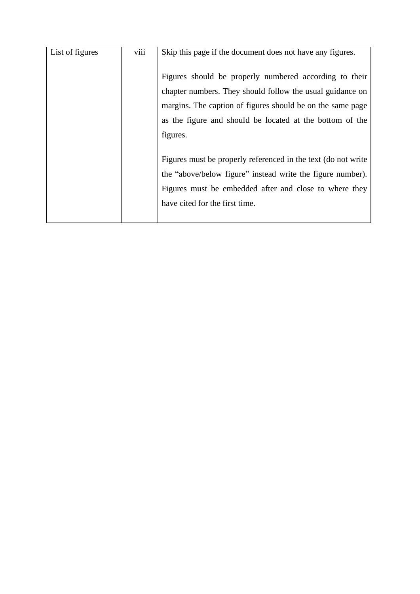| List of figures | viii | Skip this page if the document does not have any figures.<br>Figures should be properly numbered according to their     |
|-----------------|------|-------------------------------------------------------------------------------------------------------------------------|
|                 |      | chapter numbers. They should follow the usual guidance on<br>margins. The caption of figures should be on the same page |
|                 |      | as the figure and should be located at the bottom of the                                                                |
|                 |      | figures.                                                                                                                |
|                 |      | Figures must be properly referenced in the text (do not write                                                           |
|                 |      | the "above/below figure" instead write the figure number).<br>Figures must be embedded after and close to where they    |
|                 |      | have cited for the first time.                                                                                          |
|                 |      |                                                                                                                         |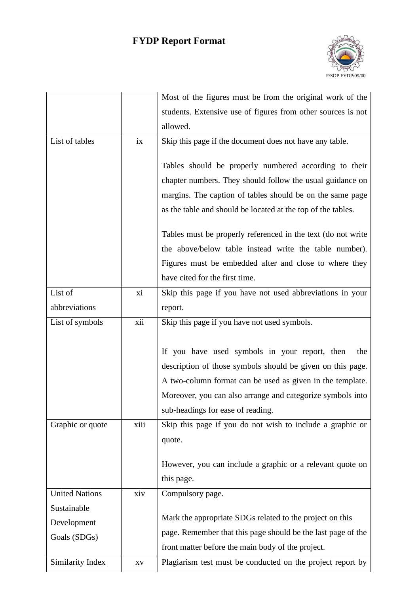

|                       |                        | Most of the figures must be from the original work of the    |
|-----------------------|------------------------|--------------------------------------------------------------|
|                       |                        | students. Extensive use of figures from other sources is not |
|                       |                        | allowed.                                                     |
| List of tables        | ix                     | Skip this page if the document does not have any table.      |
|                       |                        |                                                              |
|                       |                        | Tables should be properly numbered according to their        |
|                       |                        | chapter numbers. They should follow the usual guidance on    |
|                       |                        | margins. The caption of tables should be on the same page    |
|                       |                        | as the table and should be located at the top of the tables. |
|                       |                        | Tables must be properly referenced in the text (do not write |
|                       |                        | the above/below table instead write the table number).       |
|                       |                        | Figures must be embedded after and close to where they       |
|                       |                        | have cited for the first time.                               |
| List of               | xi                     | Skip this page if you have not used abbreviations in your    |
| abbreviations         |                        | report.                                                      |
| List of symbols       | xii                    | Skip this page if you have not used symbols.                 |
|                       |                        |                                                              |
|                       |                        | If you have used symbols in your report, then<br>the         |
|                       |                        | description of those symbols should be given on this page.   |
|                       |                        | A two-column format can be used as given in the template.    |
|                       |                        | Moreover, you can also arrange and categorize symbols into   |
|                       |                        | sub-headings for ease of reading.                            |
| Graphic or quote      | xiii                   | Skip this page if you do not wish to include a graphic or    |
|                       |                        | quote.                                                       |
|                       |                        |                                                              |
|                       |                        | However, you can include a graphic or a relevant quote on    |
|                       |                        | this page.                                                   |
| <b>United Nations</b> | xiv                    | Compulsory page.                                             |
| Sustainable           |                        | Mark the appropriate SDGs related to the project on this     |
| Development           |                        | page. Remember that this page should be the last page of the |
| Goals (SDGs)          |                        | front matter before the main body of the project.            |
| Similarity Index      | $\mathbf{X}\mathbf{V}$ | Plagiarism test must be conducted on the project report by   |
|                       |                        |                                                              |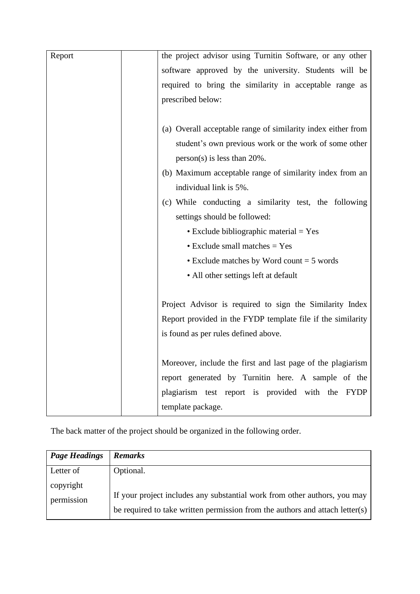| Report | the project advisor using Turnitin Software, or any other    |
|--------|--------------------------------------------------------------|
|        | software approved by the university. Students will be        |
|        | required to bring the similarity in acceptable range as      |
|        | prescribed below:                                            |
|        |                                                              |
|        | (a) Overall acceptable range of similarity index either from |
|        | student's own previous work or the work of some other        |
|        | $person(s)$ is less than 20%.                                |
|        | (b) Maximum acceptable range of similarity index from an     |
|        | individual link is 5%.                                       |
|        | (c) While conducting a similarity test, the following        |
|        | settings should be followed:                                 |
|        | $\bullet$ Exclude bibliographic material = Yes               |
|        | $\bullet$ Exclude small matches = Yes                        |
|        | $\bullet$ Exclude matches by Word count = 5 words            |
|        | • All other settings left at default                         |
|        |                                                              |
|        | Project Advisor is required to sign the Similarity Index     |
|        | Report provided in the FYDP template file if the similarity  |
|        | is found as per rules defined above.                         |
|        |                                                              |
|        | Moreover, include the first and last page of the plagiarism  |
|        | report generated by Turnitin here. A sample of the           |
|        | plagiarism test report is provided with the FYDP             |
|        | template package.                                            |

The back matter of the project should be organized in the following order.

| <b>Page Headings</b>    | <b>Remarks</b>                                                                                                                                            |
|-------------------------|-----------------------------------------------------------------------------------------------------------------------------------------------------------|
| Letter of               | Optional.                                                                                                                                                 |
| copyright<br>permission | If your project includes any substantial work from other authors, you may<br>be required to take written permission from the authors and attach letter(s) |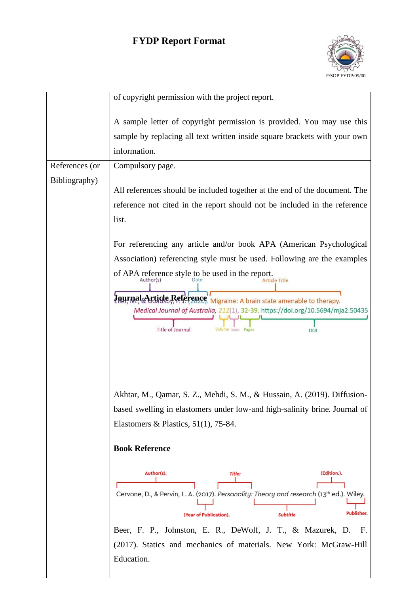

|                | of copyright permission with the project report.                                                                                                                                                                                                                                                                                                                     |
|----------------|----------------------------------------------------------------------------------------------------------------------------------------------------------------------------------------------------------------------------------------------------------------------------------------------------------------------------------------------------------------------|
|                | A sample letter of copyright permission is provided. You may use this<br>sample by replacing all text written inside square brackets with your own<br>information.                                                                                                                                                                                                   |
| References (or | Compulsory page.                                                                                                                                                                                                                                                                                                                                                     |
| Bibliography)  |                                                                                                                                                                                                                                                                                                                                                                      |
|                | All references should be included together at the end of the document. The                                                                                                                                                                                                                                                                                           |
|                | reference not cited in the report should not be included in the reference                                                                                                                                                                                                                                                                                            |
|                | list.                                                                                                                                                                                                                                                                                                                                                                |
|                | For referencing any article and/or book APA (American Psychological                                                                                                                                                                                                                                                                                                  |
|                | Association) referencing style must be used. Following are the examples                                                                                                                                                                                                                                                                                              |
|                | of APA reference style to be used in the report.<br>$A$ <sub>Author</sub> (s)<br><b>Irticle Title</b>                                                                                                                                                                                                                                                                |
|                | Journal Article Reference, Migraine: A brain state amenable to therapy.<br>Medical Journal of Australia, 212(1), 32-39. https://doi.org/10.5694/mja2.50435<br><b>Title of Journal</b><br>Volume Issue<br>DOI                                                                                                                                                         |
|                | Akhtar, M., Qamar, S. Z., Mehdi, S. M., & Hussain, A. (2019). Diffusion-                                                                                                                                                                                                                                                                                             |
|                | based swelling in elastomers under low-and high-salinity brine. Journal of                                                                                                                                                                                                                                                                                           |
|                | Elastomers & Plastics, $51(1)$ , 75-84.                                                                                                                                                                                                                                                                                                                              |
|                | <b>Book Reference</b>                                                                                                                                                                                                                                                                                                                                                |
|                | (Edition.).<br>Author(s).<br><b>Title:</b><br>Cervone, D., & Pervin, L. A. (2017). Personality: Theory and research (13 <sup>th</sup> ed.). Wiley.<br>Publisher.<br>(Year of Publication).<br><b>Subtitle</b><br>Beer, F. P., Johnston, E. R., DeWolf, J. T., & Mazurek, D.<br>Е.<br>(2017). Statics and mechanics of materials. New York: McGraw-Hill<br>Education. |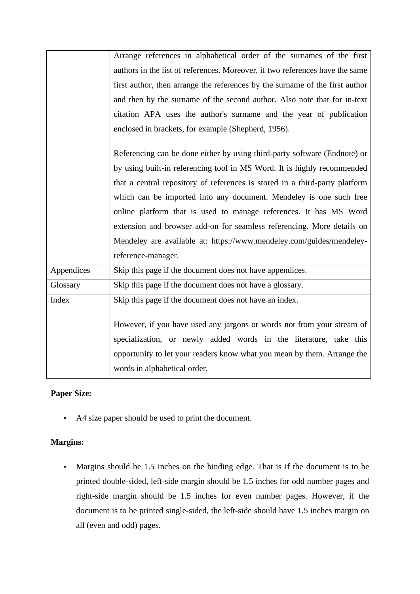|            | Arrange references in alphabetical order of the surnames of the first        |
|------------|------------------------------------------------------------------------------|
|            | authors in the list of references. Moreover, if two references have the same |
|            | first author, then arrange the references by the surname of the first author |
|            | and then by the surname of the second author. Also note that for in-text     |
|            | citation APA uses the author's surname and the year of publication           |
|            | enclosed in brackets, for example (Shepherd, 1956).                          |
|            | Referencing can be done either by using third-party software (Endnote) or    |
|            | by using built-in referencing tool in MS Word. It is highly recommended      |
|            | that a central repository of references is stored in a third-party platform  |
|            | which can be imported into any document. Mendeley is one such free           |
|            | online platform that is used to manage references. It has MS Word            |
|            | extension and browser add-on for seamless referencing. More details on       |
|            | Mendeley are available at: https://www.mendeley.com/guides/mendeley-         |
|            | reference-manager.                                                           |
| Appendices | Skip this page if the document does not have appendices.                     |
| Glossary   | Skip this page if the document does not have a glossary.                     |
| Index      | Skip this page if the document does not have an index.                       |
|            |                                                                              |
|            | However, if you have used any jargons or words not from your stream of       |
|            | specialization, or newly added words in the literature, take this            |
|            | opportunity to let your readers know what you mean by them. Arrange the      |
|            | words in alphabetical order.                                                 |
|            |                                                                              |

## **Paper Size:**

• A4 size paper should be used to print the document.

## **Margins:**

• Margins should be 1.5 inches on the binding edge. That is if the document is to be printed double-sided, left-side margin should be 1.5 inches for odd number pages and right-side margin should be 1.5 inches for even number pages. However, if the document is to be printed single-sided, the left-side should have 1.5 inches margin on all (even and odd) pages.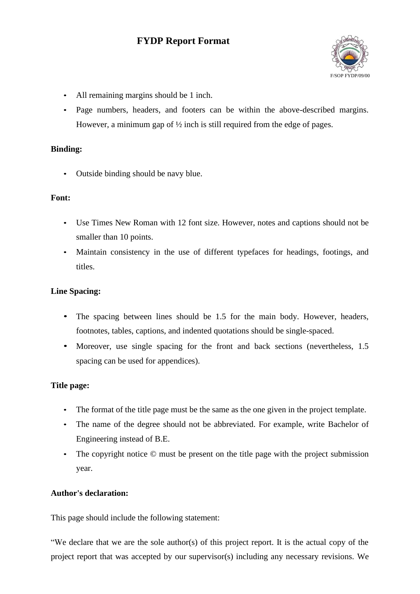

- All remaining margins should be 1 inch.
- Page numbers, headers, and footers can be within the above-described margins. However, a minimum gap of ½ inch is still required from the edge of pages.

#### **Binding:**

• Outside binding should be navy blue.

#### **Font:**

- Use Times New Roman with 12 font size. However, notes and captions should not be smaller than 10 points.
- Maintain consistency in the use of different typefaces for headings, footings, and titles.

#### **Line Spacing:**

- The spacing between lines should be 1.5 for the main body. However, headers, footnotes, tables, captions, and indented quotations should be single-spaced.
- Moreover, use single spacing for the front and back sections (nevertheless, 1.5) spacing can be used for appendices).

#### **Title page:**

- The format of the title page must be the same as the one given in the project template.
- The name of the degree should not be abbreviated. For example, write Bachelor of Engineering instead of B.E.
- The copyright notice  $\odot$  must be present on the title page with the project submission year.

#### <span id="page-8-0"></span>**Author's declaration:**

This page should include the following statement:

"We declare that we are the sole author(s) of this project report. It is the actual copy of the project report that was accepted by our supervisor(s) including any necessary revisions. We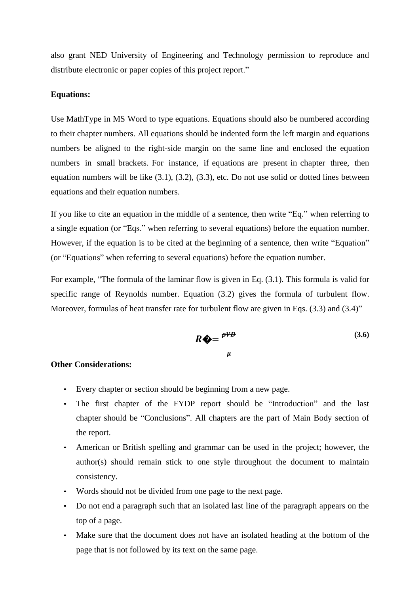also grant NED University of Engineering and Technology permission to reproduce and distribute electronic or paper copies of this project report."

#### **Equations:**

Use MathType in MS Word to type equations. Equations should also be numbered according to their chapter numbers. All equations should be indented form the left margin and equations numbers be aligned to the right-side margin on the same line and enclosed the equation numbers in small brackets. For instance, if equations are present in chapter three, then equation numbers will be like (3.1), (3.2), (3.3), etc. Do not use solid or dotted lines between equations and their equation numbers.

If you like to cite an equation in the middle of a sentence, then write "Eq." when referring to a single equation (or "Eqs." when referring to several equations) before the equation number. However, if the equation is to be cited at the beginning of a sentence, then write "Equation" (or "Equations" when referring to several equations) before the equation number.

For example, "The formula of the laminar flow is given in Eq. (3.1). This formula is valid for specific range of Reynolds number. Equation (3.2) gives the formula of turbulent flow. Moreover, formulas of heat transfer rate for turbulent flow are given in Eqs. (3.3) and (3.4)"

$$
R \bigcirc \!\!\!\!\! \bigcirc \!\!\!\! = \frac{P^{VD}}{\mu} \tag{3.6}
$$

#### **Other Considerations:**

- Every chapter or section should be beginning from a new page.
- The first chapter of the FYDP report should be "Introduction" and the last chapter should be "Conclusions". All chapters are the part of Main Body section of the report.
- American or British spelling and grammar can be used in the project; however, the author(s) should remain stick to one style throughout the document to maintain consistency.
- Words should not be divided from one page to the next page.
- Do not end a paragraph such that an isolated last line of the paragraph appears on the top of a page.
- Make sure that the document does not have an isolated heading at the bottom of the page that is not followed by its text on the same page.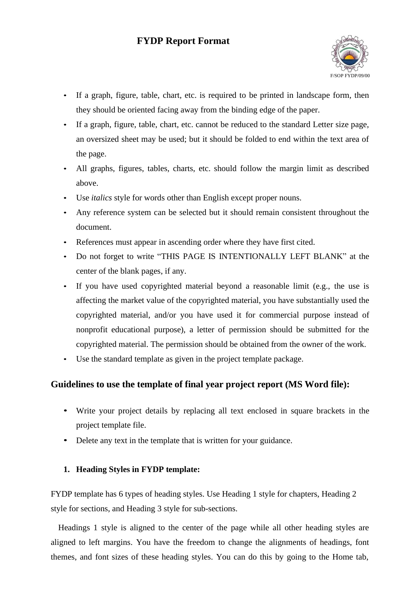

- If a graph, figure, table, chart, etc. is required to be printed in landscape form, then they should be oriented facing away from the binding edge of the paper.
- If a graph, figure, table, chart, etc. cannot be reduced to the standard Letter size page, an oversized sheet may be used; but it should be folded to end within the text area of the page.
- All graphs, figures, tables, charts, etc. should follow the margin limit as described above.
- Use *italics* style for words other than English except proper nouns.
- Any reference system can be selected but it should remain consistent throughout the document.
- References must appear in ascending order where they have first cited.
- Do not forget to write "THIS PAGE IS INTENTIONALLY LEFT BLANK" at the center of the blank pages, if any.
- If you have used copyrighted material beyond a reasonable limit (e.g., the use is affecting the market value of the copyrighted material, you have substantially used the copyrighted material, and/or you have used it for commercial purpose instead of nonprofit educational purpose), a letter of permission should be submitted for the copyrighted material. The permission should be obtained from the owner of the work.
- Use the standard template as given in the project template package.

## **Guidelines to use the template of final year project report (MS Word file):**

- Write your project details by replacing all text enclosed in square brackets in the project template file.
- Delete any text in the template that is written for your guidance.

#### **1. Heading Styles in FYDP template:**

FYDP template has 6 types of heading styles. Use Heading 1 style for chapters, Heading 2 style for sections, and Heading 3 style for sub-sections.

Headings 1 style is aligned to the center of the page while all other heading styles are aligned to left margins. You have the freedom to change the alignments of headings, font themes, and font sizes of these heading styles. You can do this by going to the Home tab,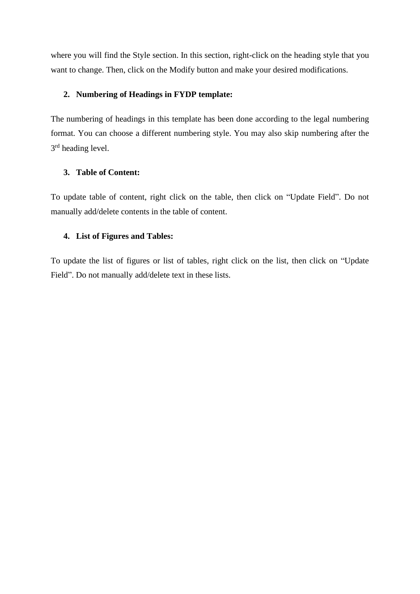where you will find the Style section. In this section, right-click on the heading style that you want to change. Then, click on the Modify button and make your desired modifications.

#### **2. Numbering of Headings in FYDP template:**

The numbering of headings in this template has been done according to the legal numbering format. You can choose a different numbering style. You may also skip numbering after the 3<sup>rd</sup> heading level.

#### **3. Table of Content:**

To update table of content, right click on the table, then click on "Update Field". Do not manually add/delete contents in the table of content.

#### **4. List of Figures and Tables:**

To update the list of figures or list of tables, right click on the list, then click on "Update Field". Do not manually add/delete text in these lists.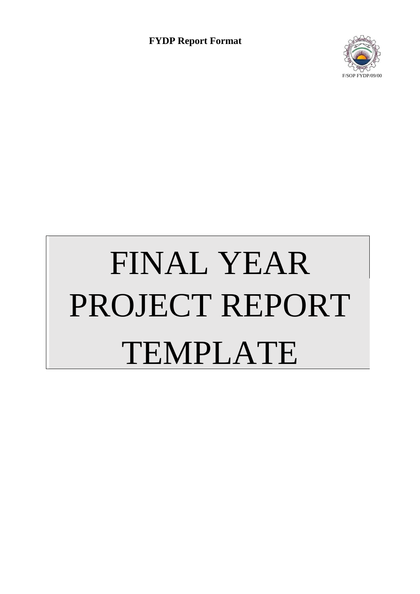

# FINAL YEAR PROJECT REPORT TEMPLATE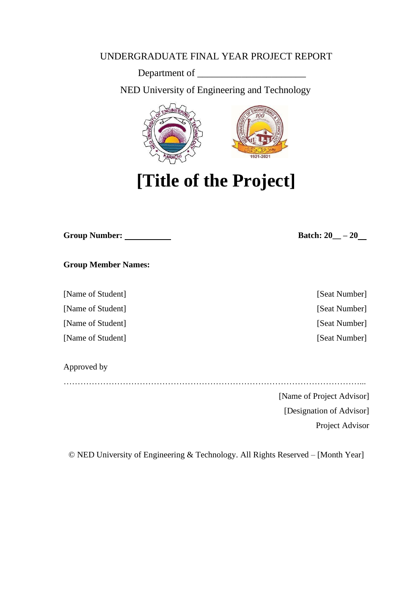## UNDERGRADUATE FINAL YEAR PROJECT REPORT

Department of

NED University of Engineering and Technology



**[Title of the Project]**

| <b>Group Number:</b> |  |
|----------------------|--|
|                      |  |

 $Batch: 20$  –  $- 20$ 

**Group Member Names:**

[Name of Student] [Seat Number]

[Name of Student] [Seat Number]

[Name of Student] [Seat Number]

[Name of Student] [Seat Number]

Approved by

……………………………………………………………………………………………...

[Name of Project Advisor]

[Designation of Advisor]

Project Advisor

© NED University of Engineering & Technology. All Rights Reserved – [Month Year]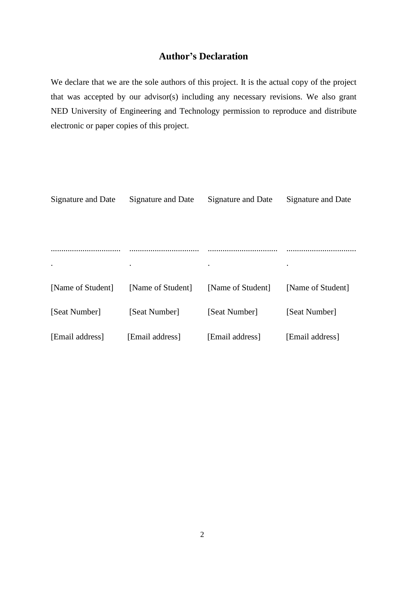## **Author's Declaration**

We declare that we are the sole authors of this project. It is the actual copy of the project that was accepted by our advisor(s) including any necessary revisions. We also grant NED University of Engineering and Technology permission to reproduce and distribute electronic or paper copies of this project.

| Signature and Date | Signature and Date | Signature and Date | Signature and Date |
|--------------------|--------------------|--------------------|--------------------|
|                    |                    |                    |                    |
|                    |                    |                    |                    |
|                    |                    |                    |                    |
| $\bullet$          | $\bullet$          | $\bullet$          |                    |
| [Name of Student]  | [Name of Student]  | [Name of Student]  | [Name of Student]  |
| [Seat Number]      | [Seat Number]      | [Seat Number]      | [Seat Number]      |
| [Email address]    | [Email address]    | [Email address]    | [Email address]    |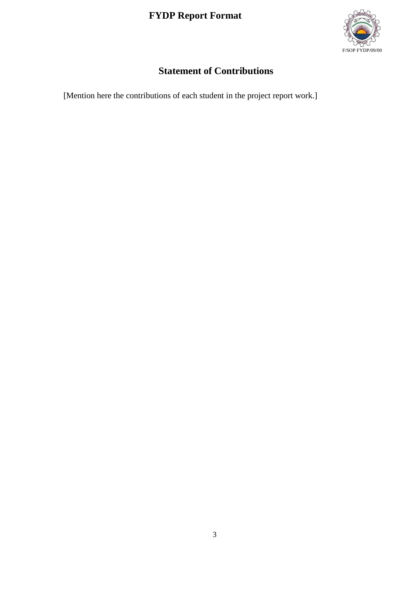

## **Statement of Contributions**

<span id="page-16-0"></span>[Mention here the contributions of each student in the project report work.]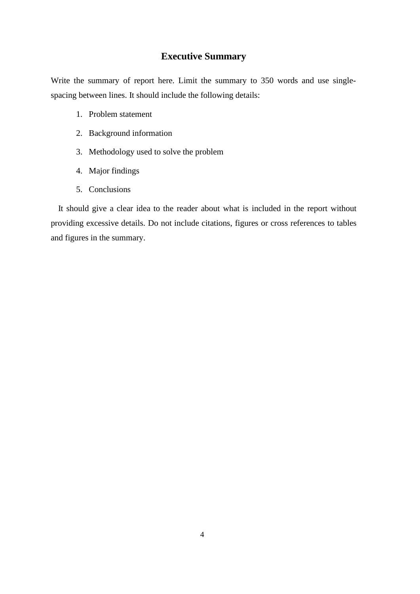## **Executive Summary**

<span id="page-17-0"></span>Write the summary of report here. Limit the summary to 350 words and use singlespacing between lines. It should include the following details:

- 1. Problem statement
- 2. Background information
- 3. Methodology used to solve the problem
- 4. Major findings
- 5. Conclusions

It should give a clear idea to the reader about what is included in the report without providing excessive details. Do not include citations, figures or cross references to tables and figures in the summary.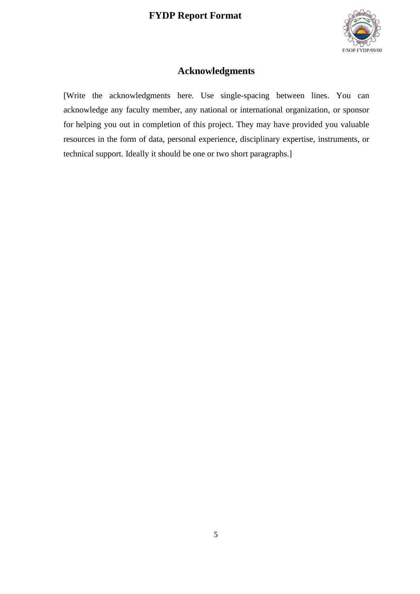

## **Acknowledgments**

<span id="page-18-0"></span>[Write the acknowledgments here. Use single-spacing between lines. You can acknowledge any faculty member, any national or international organization, or sponsor for helping you out in completion of this project. They may have provided you valuable resources in the form of data, personal experience, disciplinary expertise, instruments, or technical support. Ideally it should be one or two short paragraphs.]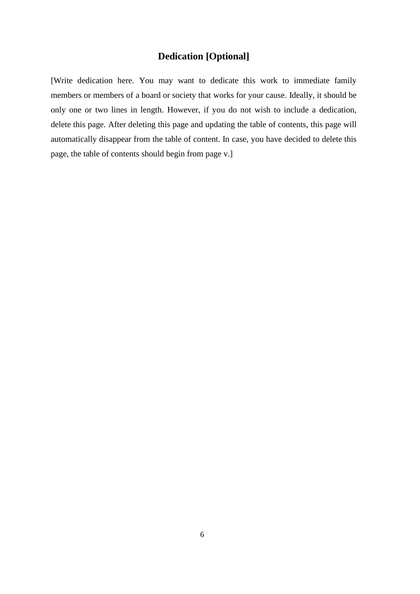## **Dedication [Optional]**

<span id="page-19-0"></span>[Write dedication here. You may want to dedicate this work to immediate family members or members of a board or society that works for your cause. Ideally, it should be only one or two lines in length. However, if you do not wish to include a dedication, delete this page. After deleting this page and updating the table of contents, this page will automatically disappear from the table of content. In case, you have decided to delete this page, the table of contents should begin from page v.]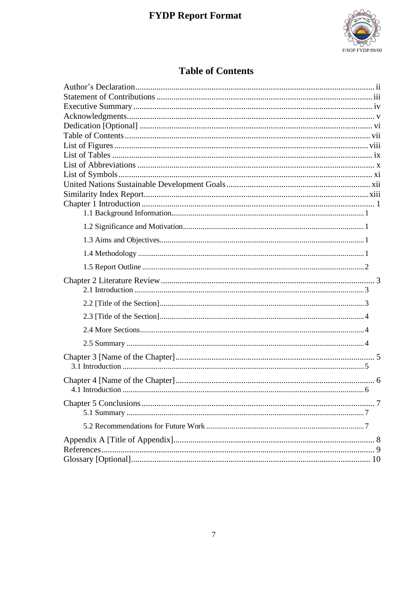

## **Table of Contents**

<span id="page-20-0"></span>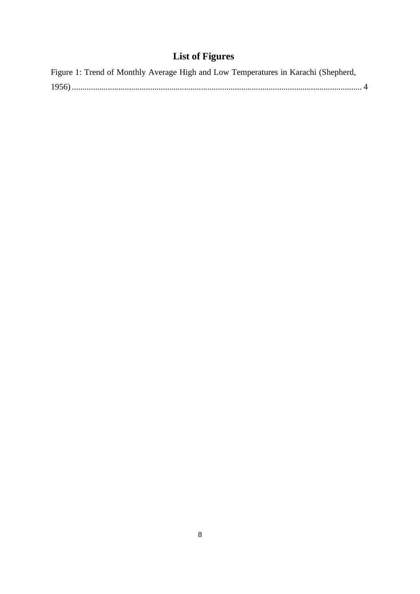## **List of Figures**

<span id="page-21-0"></span>

| Figure 1: Trend of Monthly Average High and Low Temperatures in Karachi (Shepherd, |  |
|------------------------------------------------------------------------------------|--|
|                                                                                    |  |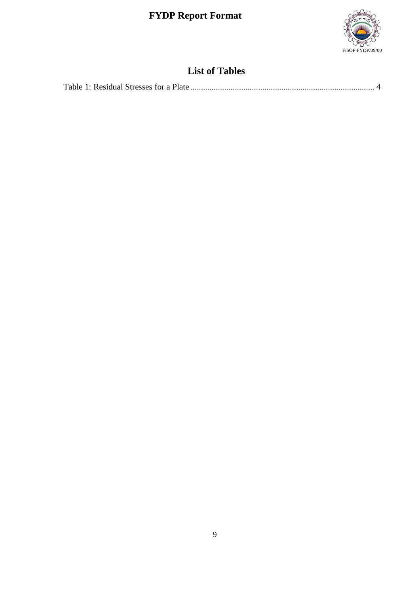

## **List of Tables**

<span id="page-22-0"></span>

|--|--|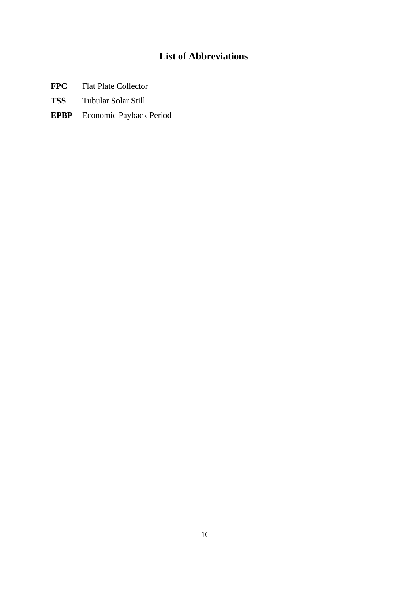## **List of Abbreviations**

- <span id="page-23-0"></span>**FPC** Flat Plate Collector
- **TSS** Tubular Solar Still
- **EPBP** Economic Payback Period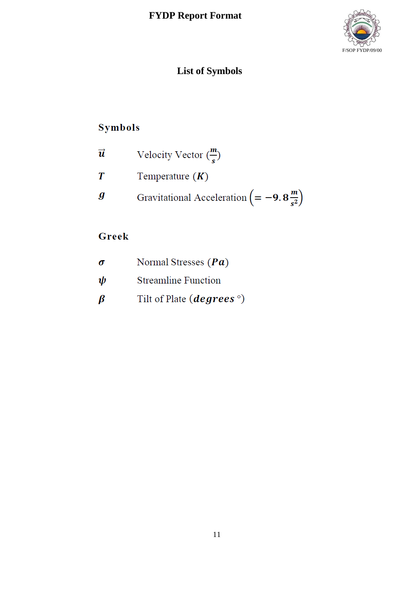

## **List of Symbols**

## Symbols

| $\overrightarrow{u}$ | Velocity Vector $\binom{m}{s}$                                   |
|----------------------|------------------------------------------------------------------|
| T                    | Temperature $(K)$                                                |
| g                    | Gravitational Acceleration $\left( = -9.8 \frac{m}{s^2} \right)$ |

## Greek

| $\sigma$ | Normal Stresses $(Pa)$                   |
|----------|------------------------------------------|
| ψ        | <b>Streamline Function</b>               |
| ß        | Tilt of Plate ( <i>degrees</i> $\circ$ ) |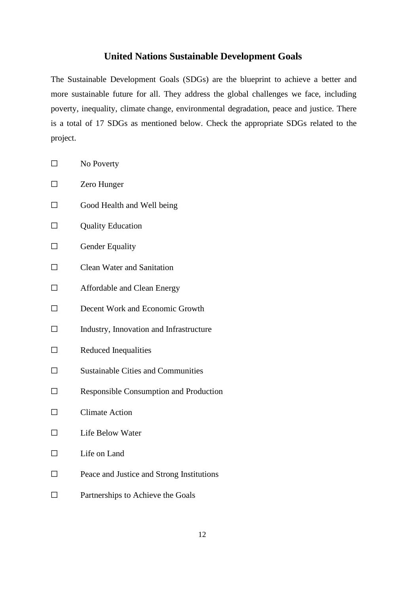## **United Nations Sustainable Development Goals**

<span id="page-25-0"></span>The Sustainable Development Goals (SDGs) are the blueprint to achieve a better and more sustainable future for all. They address the global challenges we face, including poverty, inequality, climate change, environmental degradation, peace and justice. There is a total of 17 SDGs as mentioned below. Check the appropriate SDGs related to the project.

| $\Box$ | No Poverty                                    |
|--------|-----------------------------------------------|
|        | Zero Hunger                                   |
|        | Good Health and Well being                    |
|        | <b>Quality Education</b>                      |
|        | <b>Gender Equality</b>                        |
|        | <b>Clean Water and Sanitation</b>             |
|        | Affordable and Clean Energy                   |
|        | Decent Work and Economic Growth               |
|        | Industry, Innovation and Infrastructure       |
|        | Reduced Inequalities                          |
|        | <b>Sustainable Cities and Communities</b>     |
|        | <b>Responsible Consumption and Production</b> |
|        | <b>Climate Action</b>                         |
|        | Life Below Water                              |
|        | Life on Land                                  |
|        | Peace and Justice and Strong Institutions     |
|        |                                               |

□ Partnerships to Achieve the Goals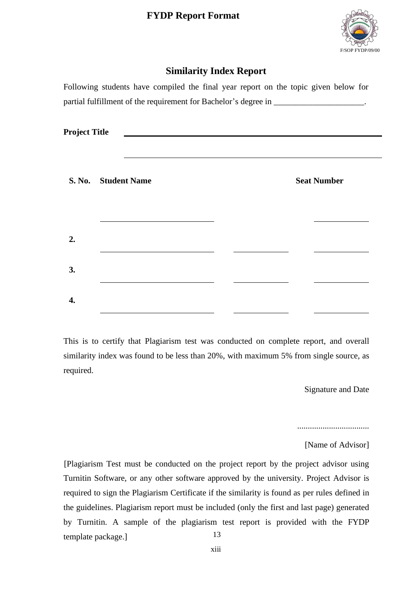

## **Similarity Index Report**

<span id="page-26-0"></span>Following students have compiled the final year report on the topic given below for partial fulfillment of the requirement for Bachelor's degree in \_\_\_\_\_\_\_\_\_\_\_\_\_\_\_\_\_

| <b>Project Title</b> |                     |  |                    |  |
|----------------------|---------------------|--|--------------------|--|
|                      | S. No. Student Name |  | <b>Seat Number</b> |  |
|                      |                     |  |                    |  |
| 2.                   |                     |  |                    |  |
| 3.                   |                     |  |                    |  |
| 4.                   |                     |  |                    |  |

This is to certify that Plagiarism test was conducted on complete report, and overall similarity index was found to be less than 20%, with maximum 5% from single source, as required.

Signature and Date

..................................

[Name of Advisor]

13 [Plagiarism Test must be conducted on the project report by the project advisor using Turnitin Software, or any other software approved by the university. Project Advisor is required to sign the Plagiarism Certificate if the similarity is found as per rules defined in the guidelines. Plagiarism report must be included (only the first and last page) generated by Turnitin. A sample of the plagiarism test report is provided with the FYDP template package.]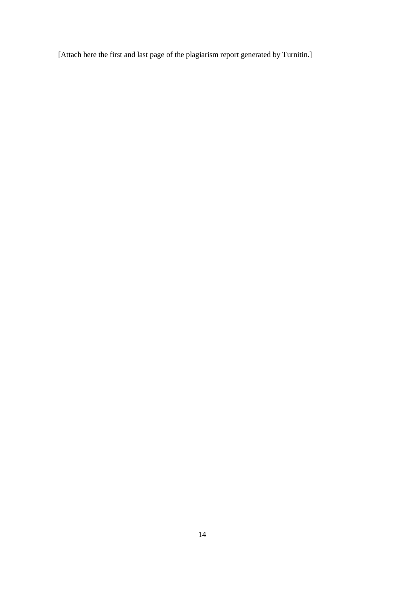[Attach here the first and last page of the plagiarism report generated by Turnitin.]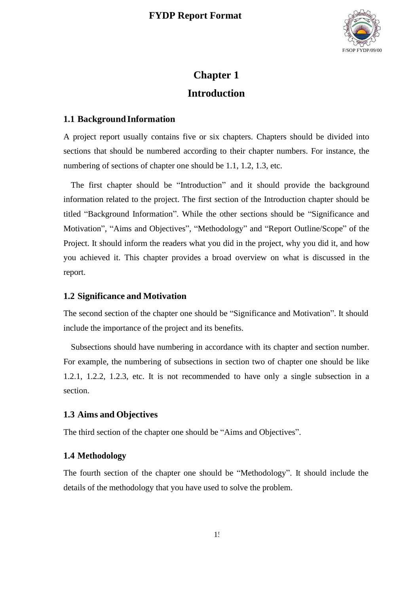

## **Chapter 1 Introduction**

#### <span id="page-28-1"></span><span id="page-28-0"></span>**1.1 BackgroundInformation**

A project report usually contains five or six chapters. Chapters should be divided into sections that should be numbered according to their chapter numbers. For instance, the numbering of sections of chapter one should be 1.1, 1.2, 1.3, etc.

The first chapter should be "Introduction" and it should provide the background information related to the project. The first section of the Introduction chapter should be titled "Background Information". While the other sections should be "Significance and Motivation", "Aims and Objectives", "Methodology" and "Report Outline/Scope" of the Project. It should inform the readers what you did in the project, why you did it, and how you achieved it. This chapter provides a broad overview on what is discussed in the report.

#### <span id="page-28-2"></span>**1.2 Significance and Motivation**

The second section of the chapter one should be "Significance and Motivation". It should include the importance of the project and its benefits.

Subsections should have numbering in accordance with its chapter and section number. For example, the numbering of subsections in section two of chapter one should be like 1.2.1, 1.2.2, 1.2.3, etc. It is not recommended to have only a single subsection in a section.

#### <span id="page-28-3"></span>**1.3 Aims and Objectives**

The third section of the chapter one should be "Aims and Objectives".

#### <span id="page-28-4"></span>**1.4 Methodology**

The fourth section of the chapter one should be "Methodology". It should include the details of the methodology that you have used to solve the problem.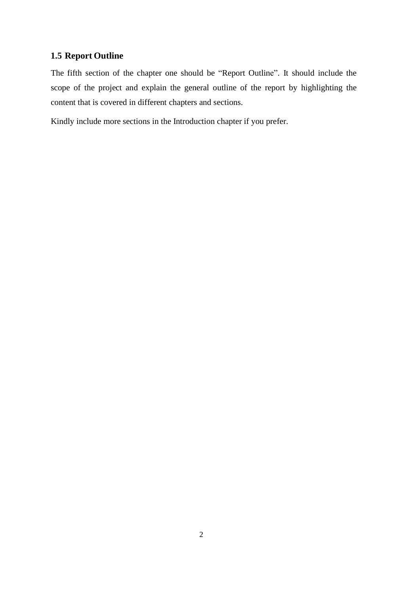## <span id="page-29-0"></span>**1.5 Report Outline**

The fifth section of the chapter one should be "Report Outline". It should include the scope of the project and explain the general outline of the report by highlighting the content that is covered in different chapters and sections.

Kindly include more sections in the Introduction chapter if you prefer.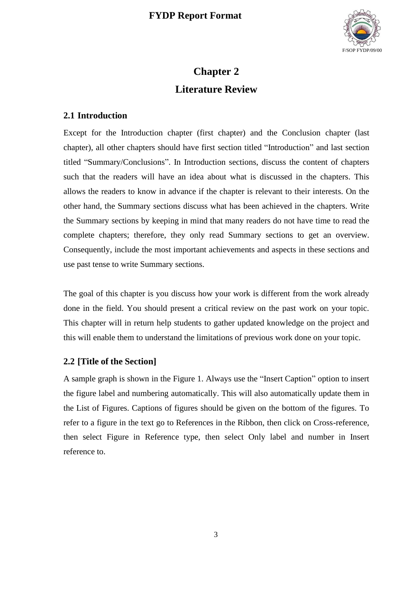

## **Chapter 2 Literature Review**

#### <span id="page-30-1"></span><span id="page-30-0"></span>**2.1 Introduction**

Except for the Introduction chapter (first chapter) and the Conclusion chapter (last chapter), all other chapters should have first section titled "Introduction" and last section titled "Summary/Conclusions". In Introduction sections, discuss the content of chapters such that the readers will have an idea about what is discussed in the chapters. This allows the readers to know in advance if the chapter is relevant to their interests. On the other hand, the Summary sections discuss what has been achieved in the chapters. Write the Summary sections by keeping in mind that many readers do not have time to read the complete chapters; therefore, they only read Summary sections to get an overview. Consequently, include the most important achievements and aspects in these sections and use past tense to write Summary sections.

The goal of this chapter is you discuss how your work is different from the work already done in the field. You should present a critical review on the past work on your topic. This chapter will in return help students to gather updated knowledge on the project and this will enable them to understand the limitations of previous work done on your topic.

## <span id="page-30-2"></span>**2.2 [Title of the Section]**

A sample graph is shown in the [Figure](#page-31-3) 1. Always use the "Insert Caption" option to insert the figure label and numbering automatically. This will also automatically update them in the List of Figures. Captions of figures should be given on the bottom of the figures. To refer to a figure in the text go to References in the Ribbon, then click on Cross-reference, then select Figure in Reference type, then select Only label and number in Insert reference to.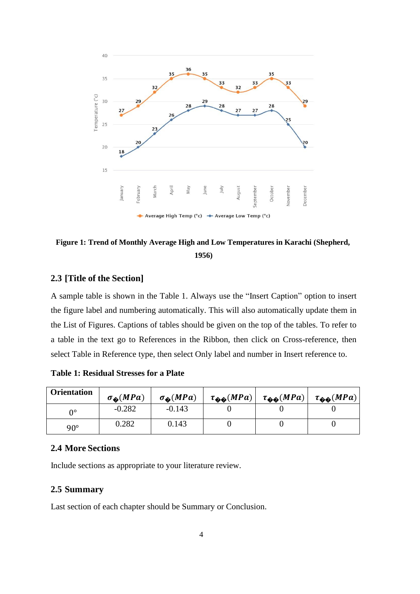

<span id="page-31-3"></span>**Figure 1: Trend of Monthly Average High and Low Temperatures in Karachi (Shepherd, 1956)**

#### <span id="page-31-0"></span>**2.3 [Title of the Section]**

A sample table is shown in the [Table](#page-31-4) 1. Always use the "Insert Caption" option to insert the figure label and numbering automatically. This will also automatically update them in the List of Figures. Captions of tables should be given on the top of the tables. To refer to a table in the text go to References in the Ribbon, then click on Cross-reference, then select Table in Reference type, then select Only label and number in Insert reference to.

<span id="page-31-4"></span>**Table 1: Residual Stresses for a Plate**

| <b>Orientation</b> | $\sigma_{\hat{\bullet}}(MPa)$ | $\sigma_{\hat{\Phi}}(MPa)$ | $\tau_{\hat{\Phi}\hat{\Phi}}(MPa)$ | $\tau_{\hat{\Phi}\hat{\Phi}}(MPa)$ | $\tau_{\hat{\Phi}\hat{\Phi}}(MPa)$ |
|--------------------|-------------------------------|----------------------------|------------------------------------|------------------------------------|------------------------------------|
| Λ٥                 | $-0.282$                      | $-0.143$                   |                                    |                                    |                                    |
| $90^\circ$         | 0.282                         | 0.143                      |                                    |                                    |                                    |

#### <span id="page-31-1"></span>**2.4 More Sections**

Include sections as appropriate to your literature review.

#### <span id="page-31-2"></span>**2.5 Summary**

Last section of each chapter should be Summary or Conclusion.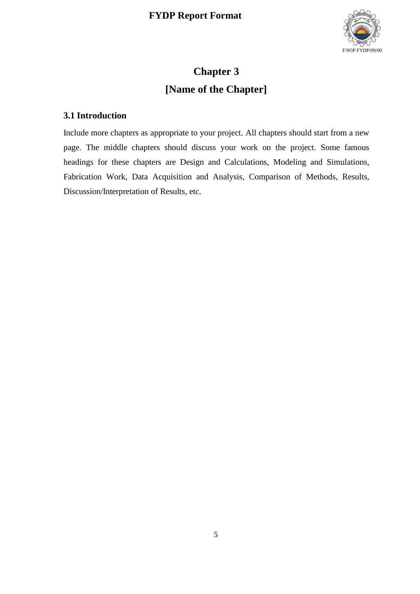

## **Chapter 3 [Name of the Chapter]**

## <span id="page-32-1"></span><span id="page-32-0"></span>**3.1 Introduction**

Include more chapters as appropriate to your project. All chapters should start from a new page. The middle chapters should discuss your work on the project. Some famous headings for these chapters are Design and Calculations, Modeling and Simulations, Fabrication Work, Data Acquisition and Analysis, Comparison of Methods, Results, Discussion/Interpretation of Results, etc.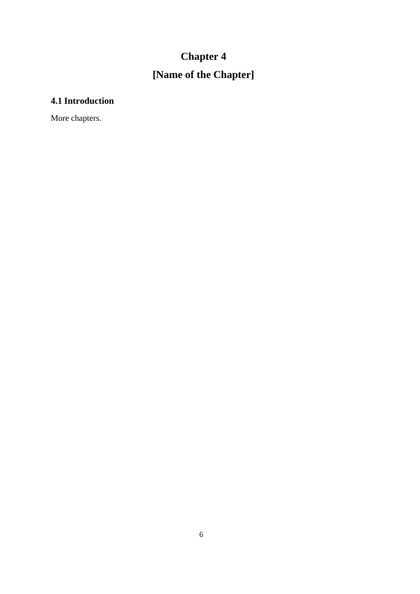## **Chapter 4 [Name of the Chapter]**

## <span id="page-33-1"></span><span id="page-33-0"></span>**4.1 Introduction**

More chapters.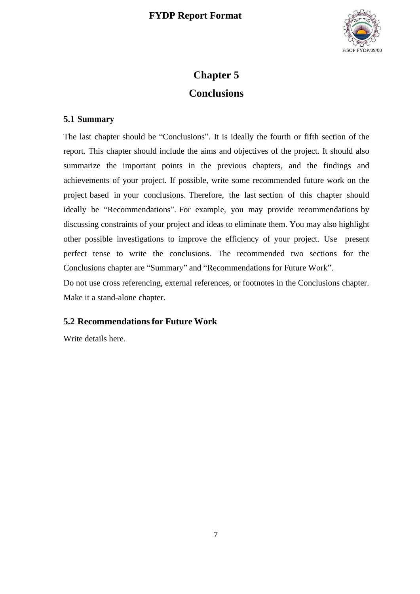

## **Chapter 5 Conclusions**

## <span id="page-34-1"></span><span id="page-34-0"></span>**5.1 Summary**

The last chapter should be "Conclusions". It is ideally the fourth or fifth section of the report. This chapter should include the aims and objectives of the project. It should also summarize the important points in the previous chapters, and the findings and achievements of your project. If possible, write some recommended future work on the project based in your conclusions. Therefore, the last section of this chapter should ideally be "Recommendations". For example, you may provide recommendations by discussing constraints of your project and ideas to eliminate them. You may also highlight other possible investigations to improve the efficiency of your project. Use present perfect tense to write the conclusions. The recommended two sections for the Conclusions chapter are "Summary" and "Recommendations for Future Work".

Do not use cross referencing, external references, or footnotes in the Conclusions chapter. Make it a stand-alone chapter.

## <span id="page-34-2"></span>**5.2 Recommendations for Future Work**

Write details here.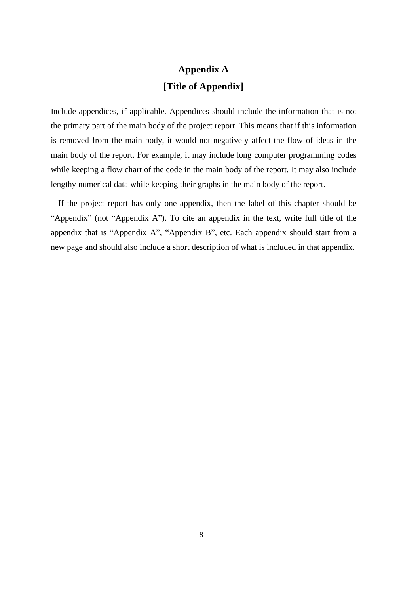## **Appendix A [Title of Appendix]**

<span id="page-35-0"></span>Include appendices, if applicable. Appendices should include the information that is not the primary part of the main body of the project report. This means that if this information is removed from the main body, it would not negatively affect the flow of ideas in the main body of the report. For example, it may include long computer programming codes while keeping a flow chart of the code in the main body of the report. It may also include lengthy numerical data while keeping their graphs in the main body of the report.

If the project report has only one appendix, then the label of this chapter should be "Appendix" (not "Appendix A"). To cite an appendix in the text, write full title of the appendix that is "Appendix A", "Appendix B", etc. Each appendix should start from a new page and should also include a short description of what is included in that appendix.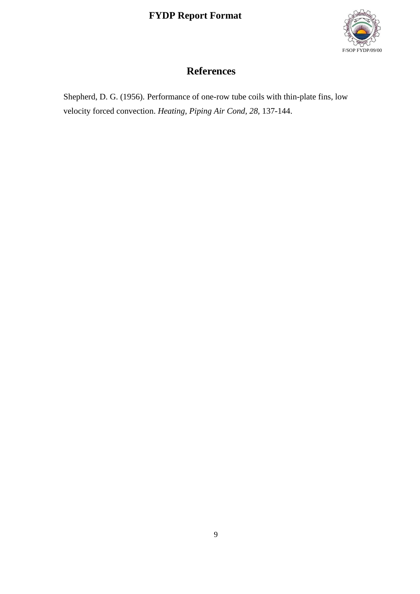

## **References**

<span id="page-36-0"></span>Shepherd, D. G. (1956). Performance of one-row tube coils with thin-plate fins, low velocity forced convection. *Heating, Piping Air Cond, 28*, 137-144.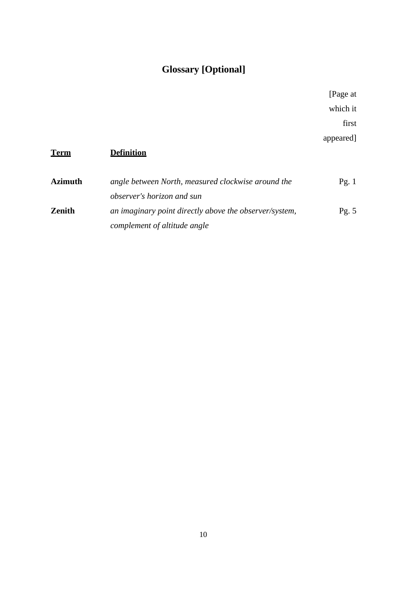## **Glossary [Optional]**

[Page at which it first appeared]

## <span id="page-37-0"></span>**Term Definition Azimuth** *angle between North, measured clockwise around the* Pg. 1 *observer's horizon and sun* **Zenith** *an imaginary point directly above the observer/system, complement of altitude angle* Pg. 5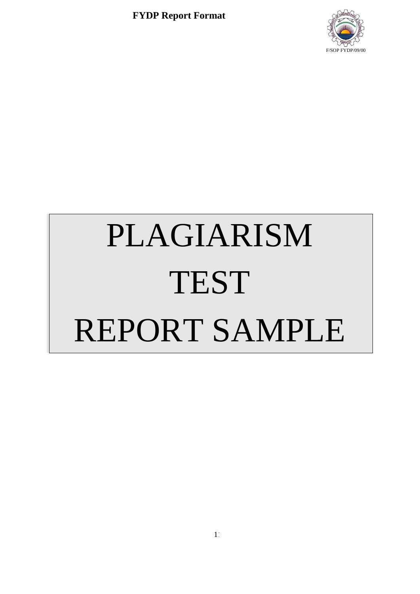

# PLAGIARISM TEST REPORT SAMPLE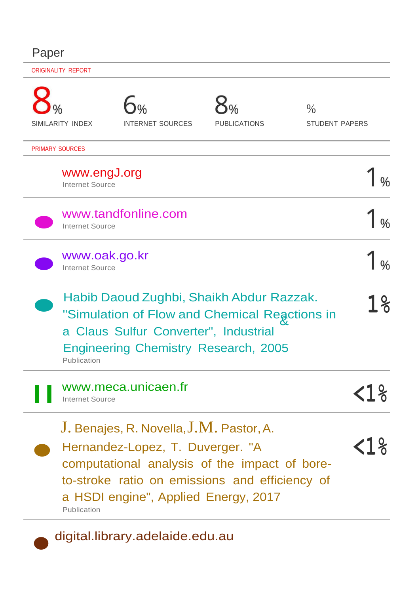## Paper

| <b>ORIGINALITY REPORT</b>               |                                                                                                                                                                                   |                     |                                        |     |  |
|-----------------------------------------|-----------------------------------------------------------------------------------------------------------------------------------------------------------------------------------|---------------------|----------------------------------------|-----|--|
| SIMILARITY INDEX                        | <b>INTERNET SOURCES</b>                                                                                                                                                           | <b>PUBLICATIONS</b> | $\frac{0}{0}$<br><b>STUDENT PAPERS</b> |     |  |
| <b>PRIMARY SOURCES</b>                  |                                                                                                                                                                                   |                     |                                        |     |  |
| www.engJ.org<br><b>Internet Source</b>  |                                                                                                                                                                                   |                     |                                        |     |  |
| <b>Internet Source</b>                  | www.tandfonline.com                                                                                                                                                               |                     |                                        |     |  |
| www.oak.go.kr<br><b>Internet Source</b> |                                                                                                                                                                                   |                     |                                        |     |  |
| Publication                             | Habib Daoud Zughbi, Shaikh Abdur Razzak.<br>"Simulation of Flow and Chemical Reactions in<br>a Claus Sulfur Converter", Industrial<br><b>Engineering Chemistry Research, 2005</b> |                     |                                        | ႞ၟႄ |  |
| <b>Internet Source</b>                  | www.meca.unicaen.fr                                                                                                                                                               |                     |                                        |     |  |
|                                         | J. Benajes, R. Novella, J.M. Pastor, A.<br>Hernandez-Lopez, T. Duverger. "A<br>computational analysis of the impact of bore-<br>to-stroke ratio on emissions and efficiency of    |                     |                                        |     |  |

a HSDI engine", Applied Energy, 2017 Publication

digital.library.adelaide.edu.au

•